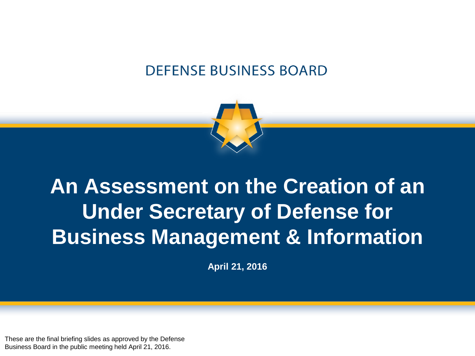### **DEFENSE BUSINESS BOARD**



# **An Assessment on the Creation of an Under Secretary of Defense for Business Management & Information**

**April 21, 2016**

These are the final briefing slides as approved by the Defense Business Board in the public meeting held April 21, 2016.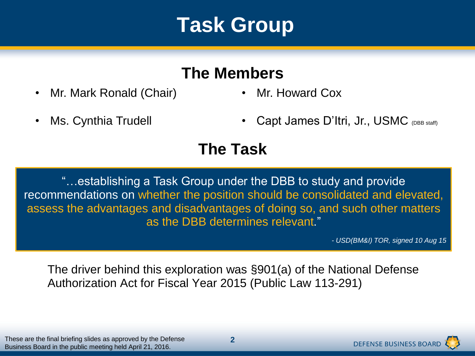### **Task Group**

### **The Members**

- Mr. Mark Ronald (Chair) Mr. Howard Cox
- 

- 
- Ms. Cynthia Trudell **•** Capt James D'Itri, Jr., USMC <sub>(DBB staff)</sub>

### **The Task**

"…establishing a Task Group under the DBB to study and provide recommendations on whether the position should be consolidated and elevated, assess the advantages and disadvantages of doing so, and such other matters as the DBB determines relevant."

*- USD(BM&I) TOR, signed 10 Aug 15*

The driver behind this exploration was §901(a) of the National Defense Authorization Act for Fiscal Year 2015 (Public Law 113-291)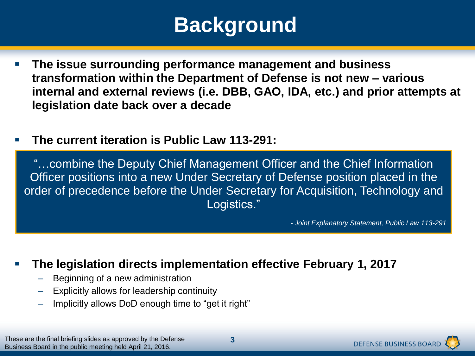# **Background**

- **The issue surrounding performance management and business transformation within the Department of Defense is not new – various internal and external reviews (i.e. DBB, GAO, IDA, etc.) and prior attempts at legislation date back over a decade**
- **The current iteration is Public Law 113-291:**

"…combine the Deputy Chief Management Officer and the Chief Information Officer positions into a new Under Secretary of Defense position placed in the order of precedence before the Under Secretary for Acquisition, Technology and Logistics."

*- Joint Explanatory Statement, Public Law 113-291*

#### **The legislation directs implementation effective February 1, 2017**

- Beginning of a new administration
- Explicitly allows for leadership continuity
- Implicitly allows DoD enough time to "get it right"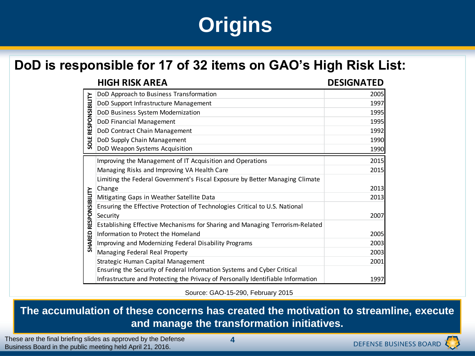# **Origins**

#### **DoD is responsible for 17 of 32 items on GAO's High Risk List:**

|                                 | <b>HIGH RISK AREA</b>                                                            | <b>DESIGNATED</b> |
|---------------------------------|----------------------------------------------------------------------------------|-------------------|
| RESPONSIBILITY<br>SOLE          | DoD Approach to Business Transformation                                          | 2005              |
|                                 | DoD Support Infrastructure Management                                            | 1997              |
|                                 | DoD Business System Modernization                                                | 1995              |
|                                 | DoD Financial Management                                                         | 1995              |
|                                 | DoD Contract Chain Management                                                    | 1992              |
|                                 | DoD Supply Chain Management                                                      | 1990              |
|                                 | DoD Weapon Systems Acquisition                                                   | 1990              |
| RESPONSIBILITY<br><b>SHARED</b> | Improving the Management of IT Acquisition and Operations                        | 2015              |
|                                 | Managing Risks and Improving VA Health Care                                      | 2015              |
|                                 | Limiting the Federal Government's Fiscal Exposure by Better Managing Climate     |                   |
|                                 | Change                                                                           | 2013              |
|                                 | Mitigating Gaps in Weather Satellite Data                                        | 2013              |
|                                 | Ensuring the Effective Protection of Technologies Critical to U.S. National      |                   |
|                                 | Security                                                                         | 2007              |
|                                 | Establishing Effective Mechanisms for Sharing and Managing Terrorism-Related     |                   |
|                                 | Information to Protect the Homeland                                              | 2005              |
|                                 | Improving and Modernizing Federal Disability Programs                            | 2003              |
|                                 | Managing Federal Real Property                                                   | 2003              |
|                                 | Strategic Human Capital Management                                               | 2001              |
|                                 | Ensuring the Security of Federal Information Systems and Cyber Critical          |                   |
|                                 | Infrastructure and Protecting the Privacy of Personally Identifiable Information | 1997              |

Source: GAO-15-290, February 2015

**The accumulation of these concerns has created the motivation to streamline, execute and manage the transformation initiatives.**

These are the final briefing slides as approved by the Defense Business Board in the public meeting held April 21, 2016.

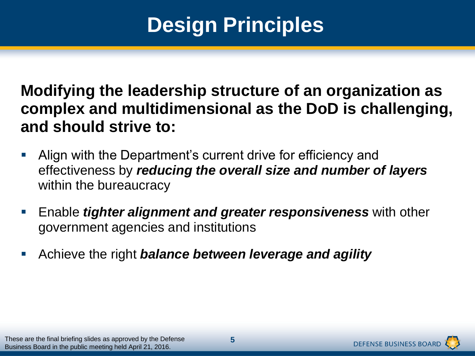# **Design Principles**

**Modifying the leadership structure of an organization as complex and multidimensional as the DoD is challenging, and should strive to:**

- Align with the Department's current drive for efficiency and effectiveness by *reducing the overall size and number of layers*  within the bureaucracy
- Enable *tighter alignment and greater responsiveness* with other government agencies and institutions
- Achieve the right *balance between leverage and agility*

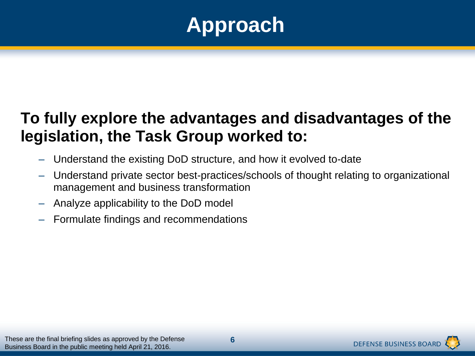

### **To fully explore the advantages and disadvantages of the legislation, the Task Group worked to:**

- Understand the existing DoD structure, and how it evolved to-date
- Understand private sector best-practices/schools of thought relating to organizational management and business transformation
- Analyze applicability to the DoD model
- Formulate findings and recommendations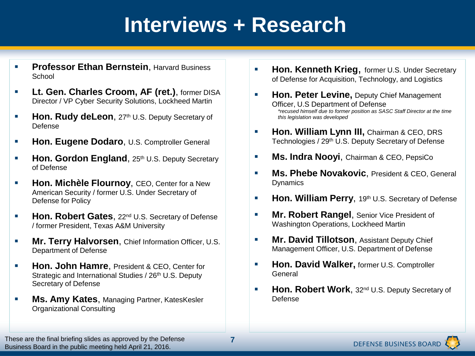### **Interviews + Research**

- **Professor Ethan Bernstein.** Harvard Business School
- **Lt. Gen. Charles Croom, AF (ret.), former DISA** Director / VP Cyber Security Solutions, Lockheed Martin
- **Hon. Rudy deLeon**, 27<sup>th</sup> U.S. Deputy Secretary of Defense
- **Hon. Eugene Dodaro**, U.S. Comptroller General
- **Hon. Gordon England**, 25th U.S. Deputy Secretary of Defense
- **Hon. Michèle Flournoy, CEO, Center for a New** American Security / former U.S. Under Secretary of Defense for Policy
- **Hon. Robert Gates**, 22<sup>nd</sup> U.S. Secretary of Defense / former President, Texas A&M University
- **Mr. Terry Halvorsen**, Chief Information Officer, U.S. Department of Defense
- **Hon. John Hamre**, President & CEO, Center for Strategic and International Studies / 26<sup>th</sup> U.S. Deputy Secretary of Defense
- **Ms. Amy Kates**, Managing Partner, KatesKesler Organizational Consulting
- **Hon. Kenneth Krieg, former U.S. Under Secretary** of Defense for Acquisition, Technology, and Logistics
- **Hon. Peter Levine, Deputy Chief Management** Officer, U.S Department of Defense *\*recused himself due to former position as SASC Staff Director at the time this legislation was developed*
- **Hon. William Lynn III, Chairman & CEO, DRS** Technologies / 29<sup>th</sup> U.S. Deputy Secretary of Defense
- **Ms. Indra Noovi**, Chairman & CEO, PepsiCo
- **Ms. Phebe Novakovic**, President & CEO, General **Dynamics**
- **Hon. William Perry, 19th U.S. Secretary of Defense**
- **Mr. Robert Rangel, Senior Vice President of** Washington Operations, Lockheed Martin
- **Mr. David Tillotson, Assistant Deputy Chief** Management Officer, U.S. Department of Defense
- **Hon. David Walker, former U.S. Comptroller** General
- **Hon. Robert Work**, 32<sup>nd</sup> U.S. Deputy Secretary of Defense

These are the final briefing slides as approved by the Defense Business Board in the public meeting held April 21, 2016.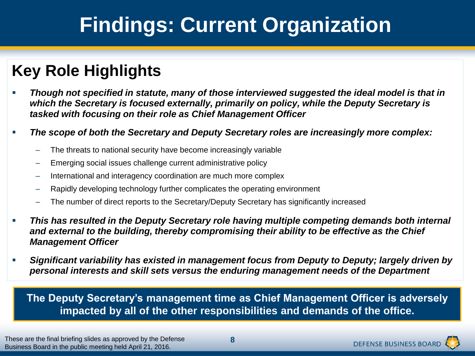### **Key Role Highlights**

- *Though not specified in statute, many of those interviewed suggested the ideal model is that in which the Secretary is focused externally, primarily on policy, while the Deputy Secretary is tasked with focusing on their role as Chief Management Officer*
- *The scope of both the Secretary and Deputy Secretary roles are increasingly more complex:*
	- The threats to national security have become increasingly variable
	- Emerging social issues challenge current administrative policy
	- International and interagency coordination are much more complex
	- Rapidly developing technology further complicates the operating environment
	- The number of direct reports to the Secretary/Deputy Secretary has significantly increased
- *This has resulted in the Deputy Secretary role having multiple competing demands both internal and external to the building, thereby compromising their ability to be effective as the Chief Management Officer*
- *Significant variability has existed in management focus from Deputy to Deputy; largely driven by personal interests and skill sets versus the enduring management needs of the Department*

**The Deputy Secretary's management time as Chief Management Officer is adversely impacted by all of the other responsibilities and demands of the office.**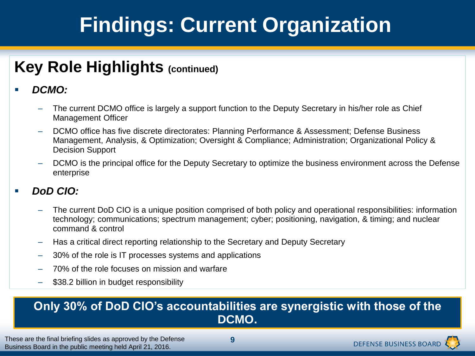### **Key Role Highlights (continued)**

#### *DCMO:*

- The current DCMO office is largely a support function to the Deputy Secretary in his/her role as Chief Management Officer
- DCMO office has five discrete directorates: Planning Performance & Assessment; Defense Business Management, Analysis, & Optimization; Oversight & Compliance; Administration; Organizational Policy & Decision Support
- DCMO is the principal office for the Deputy Secretary to optimize the business environment across the Defense enterprise

#### *DoD CIO:*

- The current DoD CIO is a unique position comprised of both policy and operational responsibilities: information technology; communications; spectrum management; cyber; positioning, navigation, & timing; and nuclear command & control
- Has a critical direct reporting relationship to the Secretary and Deputy Secretary
- 30% of the role is IT processes systems and applications
- 70% of the role focuses on mission and warfare
- \$38.2 billion in budget responsibility

#### **Only 30% of DoD CIO's accountabilities are synergistic with those of the DCMO.**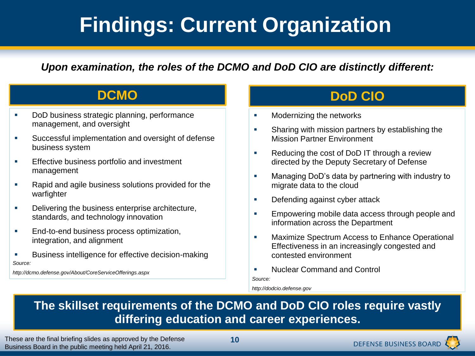*Upon examination, the roles of the DCMO and DoD CIO are distinctly different:*

- DoD business strategic planning, performance management, and oversight
- Successful implementation and oversight of defense business system
- **Effective business portfolio and investment** management
- Rapid and agile business solutions provided for the warfighter
- Delivering the business enterprise architecture, standards, and technology innovation
- **End-to-end business process optimization,** integration, and alignment
- **Business intelligence for effective decision-making** *Source:*

*http://dcmo.defense.gov/About/CoreServiceOfferings.aspx*

#### **DCMO DoD CIO**

- Modernizing the networks
- Sharing with mission partners by establishing the Mission Partner Environment
- **Reducing the cost of DoD IT through a review** directed by the Deputy Secretary of Defense
- **Managing DoD's data by partnering with industry to** migrate data to the cloud
- **Defending against cyber attack**
- Empowering mobile data access through people and information across the Department
- **EXEDENT Maximize Spectrum Access to Enhance Operational** Effectiveness in an increasingly congested and contested environment
- **Nuclear Command and Control** *Source:*

*http://dodcio.defense.gov*

#### **The skillset requirements of the DCMO and DoD CIO roles require vastly differing education and career experiences.**

These are the final briefing slides as approved by the Defense Business Board in the public meeting held April 21, 2016.

**10**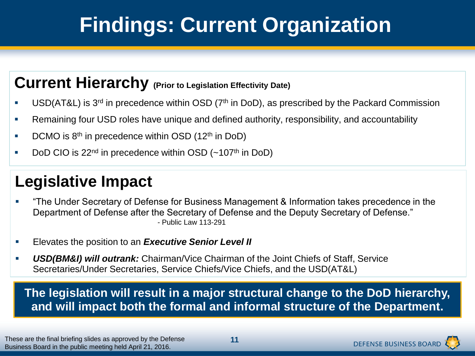### **Current Hierarchy (Prior to Legislation Effectivity Date)**

- USD(AT&L) is 3<sup>rd</sup> in precedence within OSD ( $7<sup>th</sup>$  in DoD), as prescribed by the Packard Commission
- Remaining four USD roles have unique and defined authority, responsibility, and accountability
- **DCMO** is  $8<sup>th</sup>$  in precedence within OSD (12<sup>th</sup> in DoD)
- DoD CIO is  $22<sup>nd</sup>$  in precedence within OSD  $(-107<sup>th</sup>$  in DoD)

### **Legislative Impact**

- "The Under Secretary of Defense for Business Management & Information takes precedence in the Department of Defense after the Secretary of Defense and the Deputy Secretary of Defense." - Public Law 113-291
- Elevates the position to an *Executive Senior Level II*
- *USD(BM&I) will outrank:* Chairman/Vice Chairman of the Joint Chiefs of Staff, Service Secretaries/Under Secretaries, Service Chiefs/Vice Chiefs, and the USD(AT&L)

**The legislation will result in a major structural change to the DoD hierarchy, and will impact both the formal and informal structure of the Department.**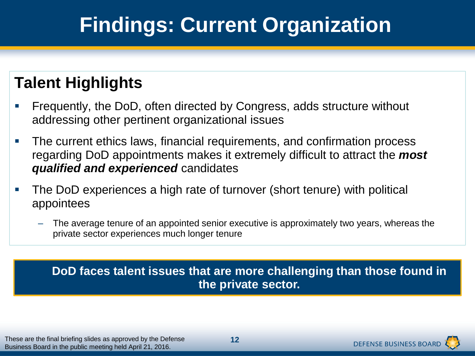### **Talent Highlights**

- Frequently, the DoD, often directed by Congress, adds structure without addressing other pertinent organizational issues
- **The current ethics laws, financial requirements, and confirmation process** regarding DoD appointments makes it extremely difficult to attract the *most qualified and experienced* candidates
- The DoD experiences a high rate of turnover (short tenure) with political appointees
	- The average tenure of an appointed senior executive is approximately two years, whereas the private sector experiences much longer tenure

#### **DoD faces talent issues that are more challenging than those found in the private sector.**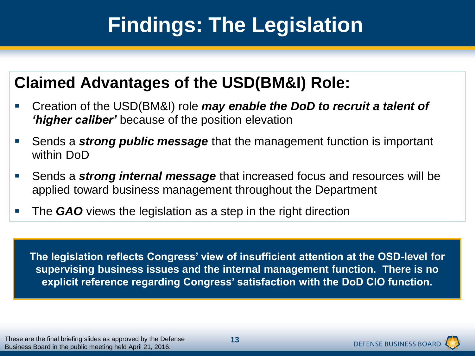### **Claimed Advantages of the USD(BM&I) Role:**

- Creation of the USD(BM&I) role *may enable the DoD to recruit a talent of 'higher caliber'* because of the position elevation
- Sends a *strong public message* that the management function is important within DoD
- Sends a *strong internal message* that increased focus and resources will be applied toward business management throughout the Department
- **The GAO** views the legislation as a step in the right direction

**The legislation reflects Congress' view of insufficient attention at the OSD-level for supervising business issues and the internal management function. There is no explicit reference regarding Congress' satisfaction with the DoD CIO function.**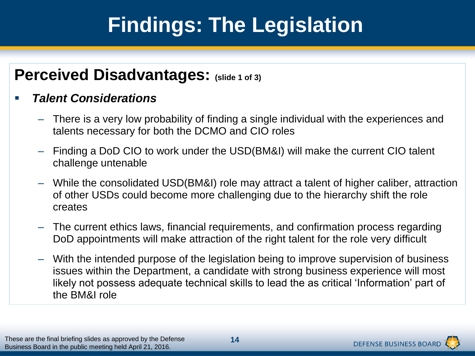### **Perceived Disadvantages: (slide 1 of 3)**

#### *Talent Considerations*

- There is a very low probability of finding a single individual with the experiences and talents necessary for both the DCMO and CIO roles
- Finding a DoD CIO to work under the USD(BM&I) will make the current CIO talent challenge untenable
- While the consolidated USD(BM&I) role may attract a talent of higher caliber, attraction of other USDs could become more challenging due to the hierarchy shift the role creates
- The current ethics laws, financial requirements, and confirmation process regarding DoD appointments will make attraction of the right talent for the role very difficult
- With the intended purpose of the legislation being to improve supervision of business issues within the Department, a candidate with strong business experience will most likely not possess adequate technical skills to lead the as critical 'Information' part of the BM&I role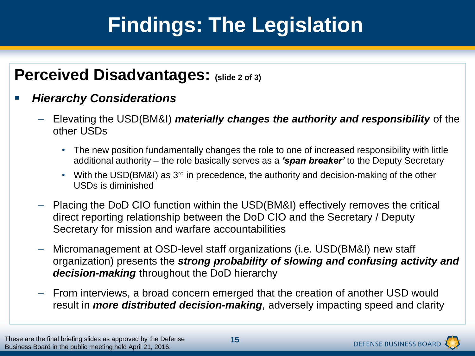### **Perceived Disadvantages: (slide 2 of 3)**

#### *Hierarchy Considerations*

- Elevating the USD(BM&I) *materially changes the authority and responsibility* of the other USDs
	- The new position fundamentally changes the role to one of increased responsibility with little additional authority – the role basically serves as a *'span breaker'* to the Deputy Secretary
	- With the USD(BM&I) as 3<sup>rd</sup> in precedence, the authority and decision-making of the other USDs is diminished
- Placing the DoD CIO function within the USD(BM&I) effectively removes the critical direct reporting relationship between the DoD CIO and the Secretary / Deputy Secretary for mission and warfare accountabilities
- Micromanagement at OSD-level staff organizations (i.e. USD(BM&I) new staff organization) presents the *strong probability of slowing and confusing activity and decision-making* throughout the DoD hierarchy
- From interviews, a broad concern emerged that the creation of another USD would result in *more distributed decision-making*, adversely impacting speed and clarity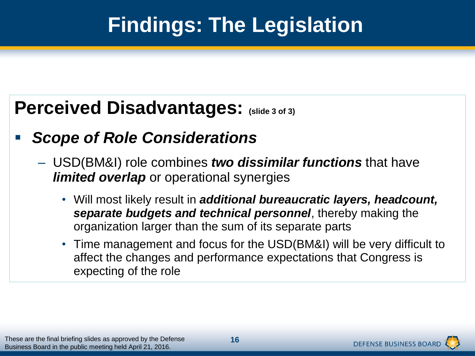### **Perceived Disadvantages: (slide 3 of 3)**

### *Scope of Role Considerations*

- USD(BM&I) role combines *two dissimilar functions* that have *limited overlap* or operational synergies
	- Will most likely result in *additional bureaucratic layers, headcount, separate budgets and technical personnel*, thereby making the organization larger than the sum of its separate parts
	- Time management and focus for the USD(BM&I) will be very difficult to affect the changes and performance expectations that Congress is expecting of the role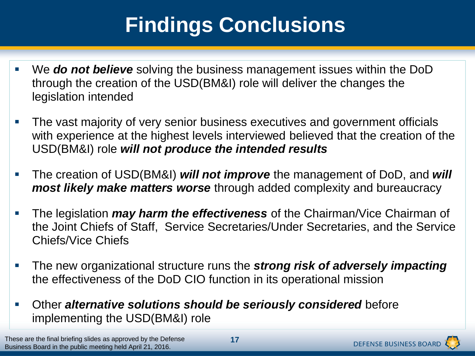# **Findings Conclusions**

- We *do not believe* solving the business management issues within the DoD through the creation of the USD(BM&I) role will deliver the changes the legislation intended
- **The vast majority of very senior business executives and government officials** with experience at the highest levels interviewed believed that the creation of the USD(BM&I) role *will not produce the intended results*
- The creation of USD(BM&I) *will not improve* the management of DoD, and *will most likely make matters worse* through added complexity and bureaucracy
- The legislation *may harm the effectiveness* of the Chairman/Vice Chairman of the Joint Chiefs of Staff, Service Secretaries/Under Secretaries, and the Service Chiefs/Vice Chiefs
- The new organizational structure runs the *strong risk of adversely impacting*  the effectiveness of the DoD CIO function in its operational mission
- Other *alternative solutions should be seriously considered* before implementing the USD(BM&I) role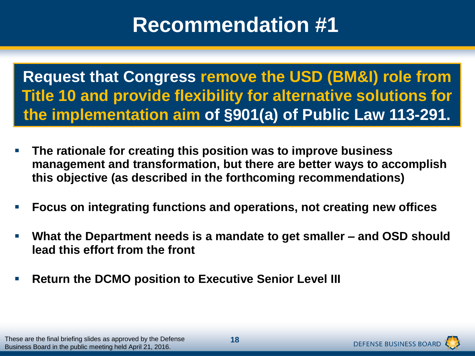**Request that Congress remove the USD (BM&I) role from Title 10 and provide flexibility for alternative solutions for the implementation aim of §901(a) of Public Law 113-291.**

- **The rationale for creating this position was to improve business management and transformation, but there are better ways to accomplish this objective (as described in the forthcoming recommendations)**
- **Focus on integrating functions and operations, not creating new offices**
- **What the Department needs is a mandate to get smaller – and OSD should lead this effort from the front**
- **Return the DCMO position to Executive Senior Level III**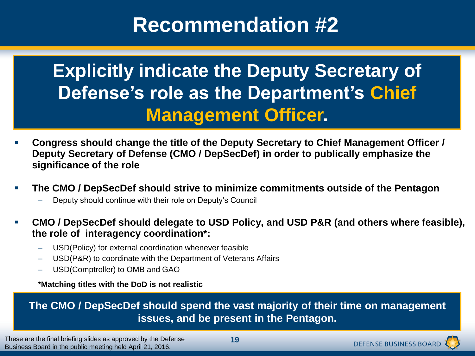### **Explicitly indicate the Deputy Secretary of Defense's role as the Department's Chief Management Officer.**

- **Congress should change the title of the Deputy Secretary to Chief Management Officer / Deputy Secretary of Defense (CMO / DepSecDef) in order to publically emphasize the significance of the role**
- **The CMO / DepSecDef should strive to minimize commitments outside of the Pentagon**
	- Deputy should continue with their role on Deputy's Council
- **CMO / DepSecDef should delegate to USD Policy, and USD P&R (and others where feasible), the role of interagency coordination\*:**
	- USD(Policy) for external coordination whenever feasible
	- USD(P&R) to coordinate with the Department of Veterans Affairs
	- USD(Comptroller) to OMB and GAO

**\*Matching titles with the DoD is not realistic**

**The CMO / DepSecDef should spend the vast majority of their time on management issues, and be present in the Pentagon.**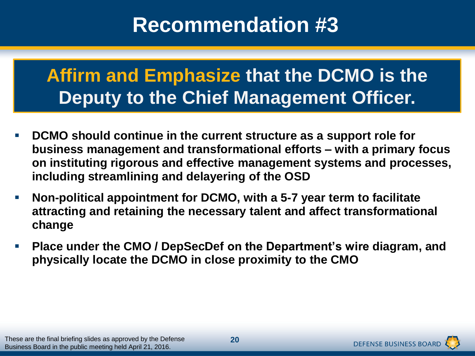### **Affirm and Emphasize that the DCMO is the Deputy to the Chief Management Officer.**

- **DCMO should continue in the current structure as a support role for business management and transformational efforts – with a primary focus on instituting rigorous and effective management systems and processes, including streamlining and delayering of the OSD**
- **Non-political appointment for DCMO, with a 5-7 year term to facilitate attracting and retaining the necessary talent and affect transformational change**
- **Place under the CMO / DepSecDef on the Department's wire diagram, and physically locate the DCMO in close proximity to the CMO**

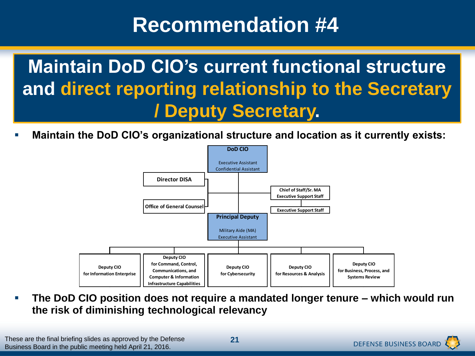**Maintain DoD CIO's current functional structure and direct reporting relationship to the Secretary / Deputy Secretary.**

**Maintain the DoD CIO's organizational structure and location as it currently exists:**



 **The DoD CIO position does not require a mandated longer tenure – which would run the risk of diminishing technological relevancy**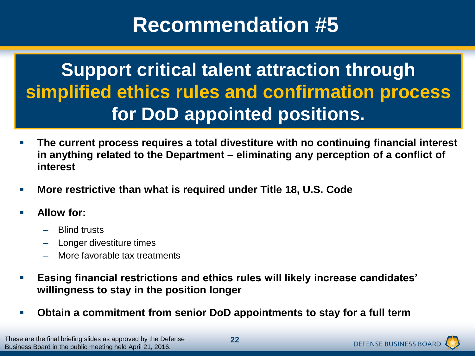### **Support critical talent attraction through simplified ethics rules and confirmation process for DoD appointed positions.**

- **The current process requires a total divestiture with no continuing financial interest in anything related to the Department – eliminating any perception of a conflict of interest**
- **More restrictive than what is required under Title 18, U.S. Code**
- **Allow for:**
	- Blind trusts
	- Longer divestiture times
	- More favorable tax treatments
- **Easing financial restrictions and ethics rules will likely increase candidates' willingness to stay in the position longer**
- **Obtain a commitment from senior DoD appointments to stay for a full term**